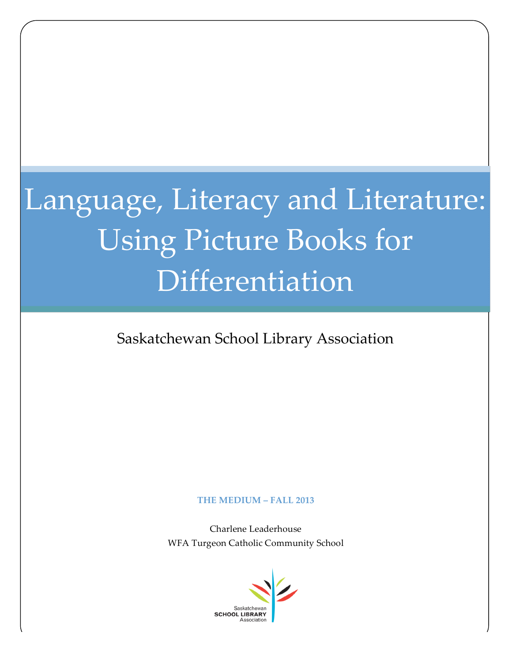# Language, Literacy and Literature: Using Picture Books for Differentiation

### Saskatchewan School Library Association

### **THE MEDIUM – FALL 2013**

Charlene Leaderhouse WFA Turgeon Catholic Community School

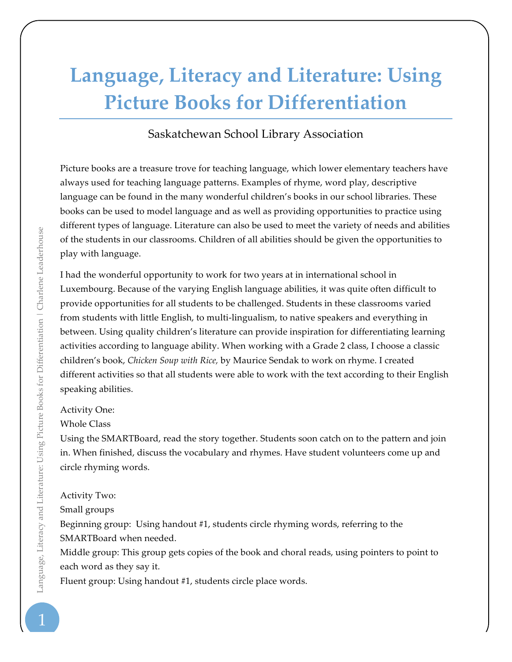## **Language, Literacy and Literature: Using Picture Books for Differentiation**

### Saskatchewan School Library Association

Picture books are a treasure trove for teaching language, which lower elementary teachers have always used for teaching language patterns. Examples of rhyme, word play, descriptive language can be found in the many wonderful children's books in our school libraries. These books can be used to model language and as well as providing opportunities to practice using different types of language. Literature can also be used to meet the variety of needs and abilities of the students in our classrooms. Children of all abilities should be given the opportunities to play with language.

I had the wonderful opportunity to work for two years at in international school in Luxembourg. Because of the varying English language abilities, it was quite often difficult to provide opportunities for all students to be challenged. Students in these classrooms varied from students with little English, to multi-lingualism, to native speakers and everything in between. Using quality children's literature can provide inspiration for differentiating learning activities according to language ability. When working with a Grade 2 class, I choose a classic children's book, *Chicken Soup with Rice,* by Maurice Sendak to work on rhyme. I created different activities so that all students were able to work with the text according to their English speaking abilities.

### Activity One:

Whole Class

Using the SMARTBoard, read the story together. Students soon catch on to the pattern and join in. When finished, discuss the vocabulary and rhymes. Have student volunteers come up and circle rhyming words.

### Activity Two:

Small groups

Beginning group: Using handout #1, students circle rhyming words, referring to the SMARTBoard when needed.

Middle group: This group gets copies of the book and choral reads, using pointers to point to each word as they say it.

Fluent group: Using handout #1, students circle place words.